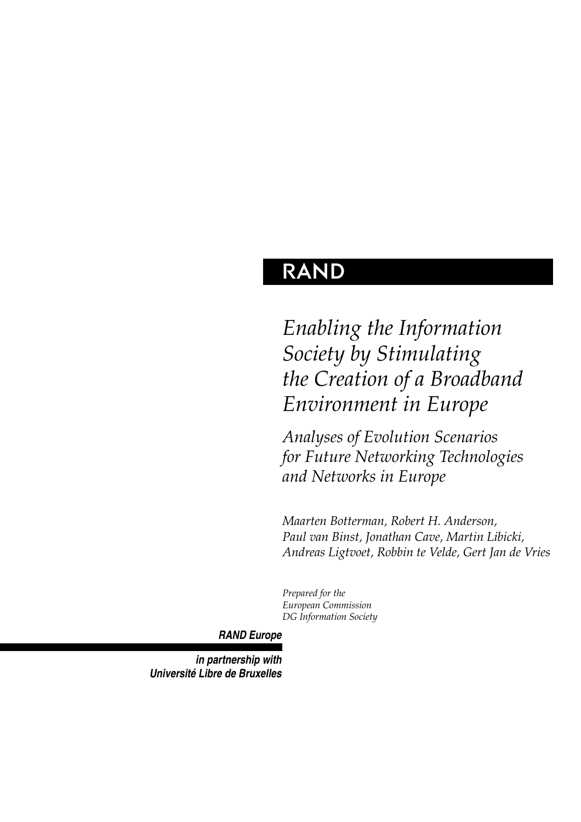## **RAND**

*Enabling the Information Society by Stimulating the Creation of a Broadband Environment in Europe*

*Analyses of Evolution Scenarios for Future Networking Technologies and Networks in Europe*

*Maarten Botterman, Robert H. Anderson, Paul van Binst, Jonathan Cave, Martin Libicki, Andreas Ligtvoet, Robbin te Velde, Gert Jan de Vries*

*Prepared for the European Commission DG Information Society*

*RAND Europe*

*in partnership with Université Libre de Bruxelles*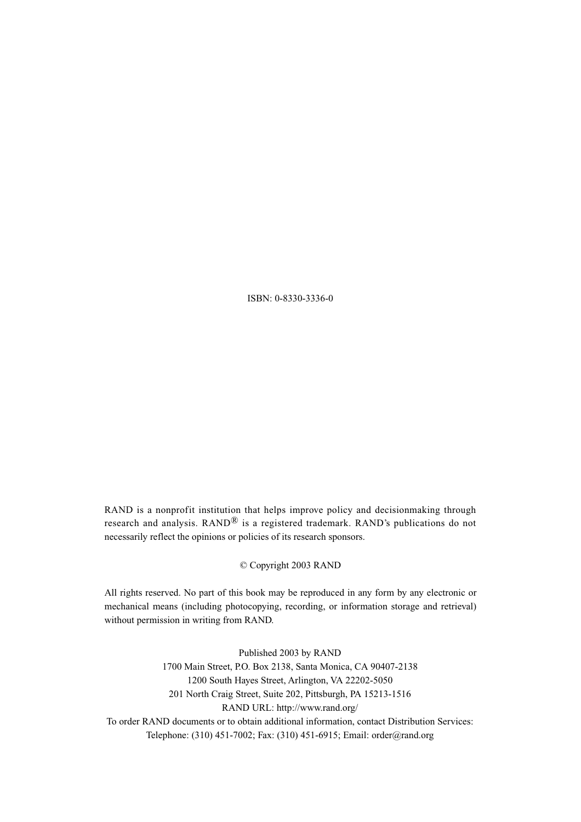ISBN: 0-8330-3336-0

RAND is a nonprofit institution that helps improve policy and decisionmaking through research and analysis. RAND® is a registered trademark. RAND's publications do not necessarily reflect the opinions or policies of its research sponsors.

## © Copyright 2003 RAND

All rights reserved. No part of this book may be reproduced in any form by any electronic or mechanical means (including photocopying, recording, or information storage and retrieval) without permission in writing from RAND.

Published 2003 by RAND 1700 Main Street, P.O. Box 2138, Santa Monica, CA 90407-2138 1200 South Hayes Street, Arlington, VA 22202-5050 201 North Craig Street, Suite 202, Pittsburgh, PA 15213-1516 RAND URL: http://www.rand.org/ To order RAND documents or to obtain additional information, contact Distribution Services: Telephone: (310) 451-7002; Fax: (310) 451-6915; Email: order@rand.org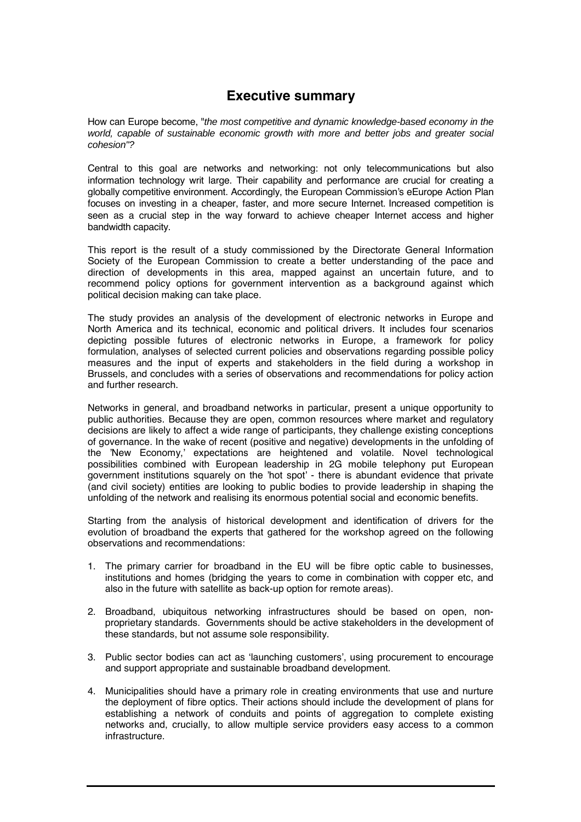## **Executive summary**

How can Europe become, "*the most competitive and dynamic knowledge-based economy in the world, capable of sustainable economic growth with more and better jobs and greater social cohesion"?*

Central to this goal are networks and networking: not only telecommunications but also information technology writ large. Their capability and performance are crucial for creating a globally competitive environment. Accordingly, the European Commission's eEurope Action Plan focuses on investing in a cheaper, faster, and more secure Internet. Increased competition is seen as a crucial step in the way forward to achieve cheaper Internet access and higher bandwidth capacity.

This report is the result of a study commissioned by the Directorate General Information Society of the European Commission to create a better understanding of the pace and direction of developments in this area, mapped against an uncertain future, and to recommend policy options for government intervention as a background against which political decision making can take place.

The study provides an analysis of the development of electronic networks in Europe and North America and its technical, economic and political drivers. It includes four scenarios depicting possible futures of electronic networks in Europe, a framework for policy formulation, analyses of selected current policies and observations regarding possible policy measures and the input of experts and stakeholders in the field during a workshop in Brussels, and concludes with a series of observations and recommendations for policy action and further research.

Networks in general, and broadband networks in particular, present a unique opportunity to public authorities. Because they are open, common resources where market and regulatory decisions are likely to affect a wide range of participants, they challenge existing conceptions of governance. In the wake of recent (positive and negative) developments in the unfolding of the 'New Economy,' expectations are heightened and volatile. Novel technological possibilities combined with European leadership in 2G mobile telephony put European government institutions squarely on the 'hot spot' - there is abundant evidence that private (and civil society) entities are looking to public bodies to provide leadership in shaping the unfolding of the network and realising its enormous potential social and economic benefits.

Starting from the analysis of historical development and identification of drivers for the evolution of broadband the experts that gathered for the workshop agreed on the following observations and recommendations:

- 1. The primary carrier for broadband in the EU will be fibre optic cable to businesses, institutions and homes (bridging the years to come in combination with copper etc, and also in the future with satellite as back-up option for remote areas).
- 2. Broadband, ubiquitous networking infrastructures should be based on open, nonproprietary standards. Governments should be active stakeholders in the development of these standards, but not assume sole responsibility.
- 3. Public sector bodies can act as 'launching customers', using procurement to encourage and support appropriate and sustainable broadband development.
- 4. Municipalities should have a primary role in creating environments that use and nurture the deployment of fibre optics. Their actions should include the development of plans for establishing a network of conduits and points of aggregation to complete existing networks and, crucially, to allow multiple service providers easy access to a common infrastructure.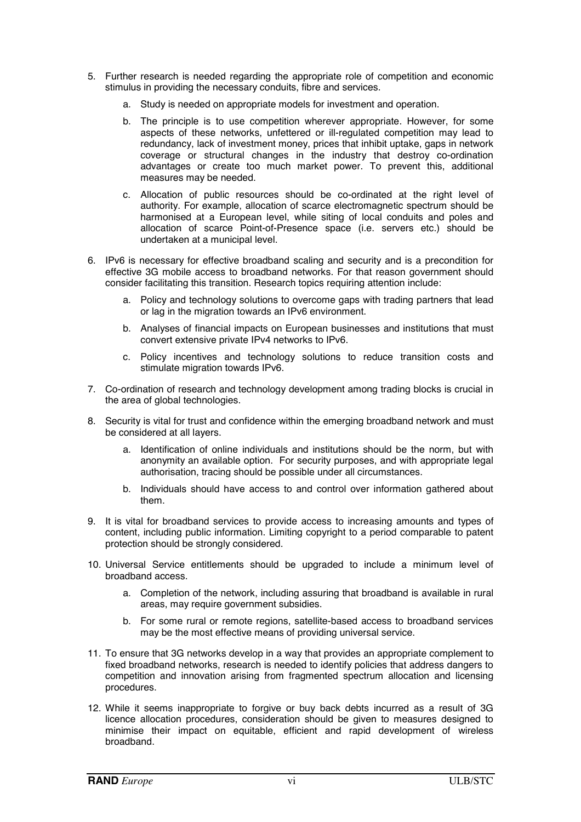- 5. Further research is needed regarding the appropriate role of competition and economic stimulus in providing the necessary conduits, fibre and services.
	- a. Study is needed on appropriate models for investment and operation.
	- b. The principle is to use competition wherever appropriate. However, for some aspects of these networks, unfettered or ill-regulated competition may lead to redundancy, lack of investment money, prices that inhibit uptake, gaps in network coverage or structural changes in the industry that destroy co-ordination advantages or create too much market power. To prevent this, additional measures may be needed.
	- c. Allocation of public resources should be co-ordinated at the right level of authority. For example, allocation of scarce electromagnetic spectrum should be harmonised at a European level, while siting of local conduits and poles and allocation of scarce Point-of-Presence space (i.e. servers etc.) should be undertaken at a municipal level.
- 6. IPv6 is necessary for effective broadband scaling and security and is a precondition for effective 3G mobile access to broadband networks. For that reason government should consider facilitating this transition. Research topics requiring attention include:
	- a. Policy and technology solutions to overcome gaps with trading partners that lead or lag in the migration towards an IPv6 environment.
	- b. Analyses of financial impacts on European businesses and institutions that must convert extensive private IPv4 networks to IPv6.
	- c. Policy incentives and technology solutions to reduce transition costs and stimulate migration towards IPv6.
- 7. Co-ordination of research and technology development among trading blocks is crucial in the area of global technologies.
- 8. Security is vital for trust and confidence within the emerging broadband network and must be considered at all layers.
	- a. Identification of online individuals and institutions should be the norm, but with anonymity an available option. For security purposes, and with appropriate legal authorisation, tracing should be possible under all circumstances.
	- b. Individuals should have access to and control over information gathered about them.
- 9. It is vital for broadband services to provide access to increasing amounts and types of content, including public information. Limiting copyright to a period comparable to patent protection should be strongly considered.
- 10. Universal Service entitlements should be upgraded to include a minimum level of broadband access.
	- a. Completion of the network, including assuring that broadband is available in rural areas, may require government subsidies.
	- b. For some rural or remote regions, satellite-based access to broadband services may be the most effective means of providing universal service.
- 11. To ensure that 3G networks develop in a way that provides an appropriate complement to fixed broadband networks, research is needed to identify policies that address dangers to competition and innovation arising from fragmented spectrum allocation and licensing procedures.
- 12. While it seems inappropriate to forgive or buy back debts incurred as a result of 3G licence allocation procedures, consideration should be given to measures designed to minimise their impact on equitable, efficient and rapid development of wireless broadband.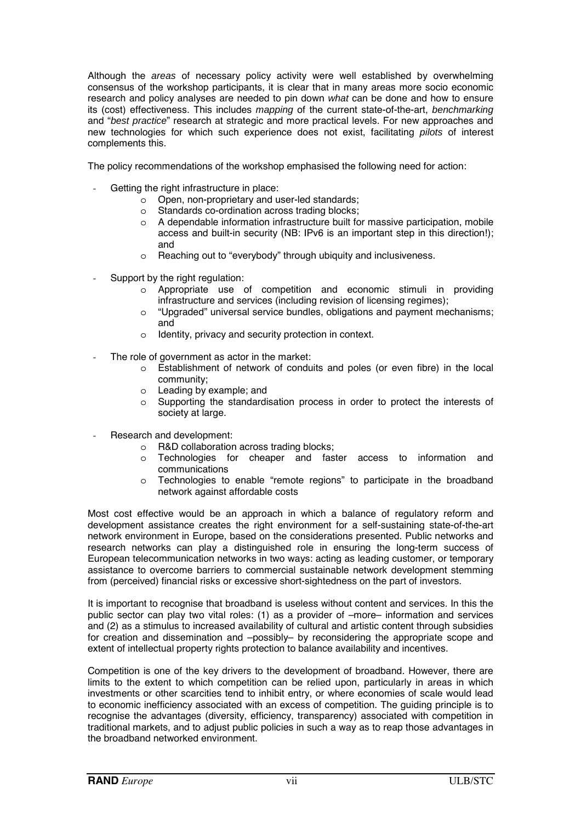Although the *areas* of necessary policy activity were well established by overwhelming consensus of the workshop participants, it is clear that in many areas more socio economic research and policy analyses are needed to pin down *what* can be done and how to ensure its (cost) effectiveness. This includes *mapping* of the current state-of-the-art, *benchmarking* and "*best practice*" research at strategic and more practical levels. For new approaches and new technologies for which such experience does not exist, facilitating *pilots* of interest complements this.

The policy recommendations of the workshop emphasised the following need for action:

- Getting the right infrastructure in place:
	- o Open, non-proprietary and user-led standards;
	- o Standards co-ordination across trading blocks;
	- $\circ$  A dependable information infrastructure built for massive participation, mobile access and built-in security (NB: IPv6 is an important step in this direction!); and
	- o Reaching out to "everybody" through ubiquity and inclusiveness.
- Support by the right regulation:
	- o Appropriate use of competition and economic stimuli in providing infrastructure and services (including revision of licensing regimes);
	- $\circ$  "Upgraded" universal service bundles, obligations and payment mechanisms; and
	- o Identity, privacy and security protection in context.
- The role of government as actor in the market:
	- o Establishment of network of conduits and poles (or even fibre) in the local community;
	- o Leading by example; and
	- o Supporting the standardisation process in order to protect the interests of society at large.
- Research and development:
	- o R&D collaboration across trading blocks;
	- o Technologies for cheaper and faster access to information and communications
	- o Technologies to enable "remote regions" to participate in the broadband network against affordable costs

Most cost effective would be an approach in which a balance of regulatory reform and development assistance creates the right environment for a self-sustaining state-of-the-art network environment in Europe, based on the considerations presented. Public networks and research networks can play a distinguished role in ensuring the long-term success of European telecommunication networks in two ways: acting as leading customer, or temporary assistance to overcome barriers to commercial sustainable network development stemming from (perceived) financial risks or excessive short-sightedness on the part of investors.

It is important to recognise that broadband is useless without content and services. In this the public sector can play two vital roles: (1) as a provider of –more– information and services and (2) as a stimulus to increased availability of cultural and artistic content through subsidies for creation and dissemination and –possibly– by reconsidering the appropriate scope and extent of intellectual property rights protection to balance availability and incentives.

Competition is one of the key drivers to the development of broadband. However, there are limits to the extent to which competition can be relied upon, particularly in areas in which investments or other scarcities tend to inhibit entry, or where economies of scale would lead to economic inefficiency associated with an excess of competition. The guiding principle is to recognise the advantages (diversity, efficiency, transparency) associated with competition in traditional markets, and to adjust public policies in such a way as to reap those advantages in the broadband networked environment.